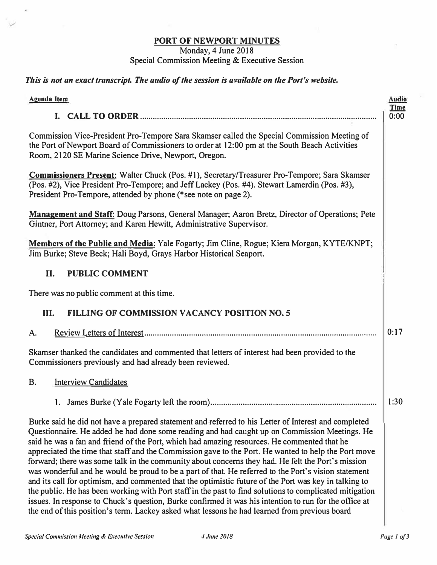## PORT OF NEWPORT MINUTES

## Monday, 4 June 2018 Special Commission Meeting & Executive Session

## *This is not an exact transcript. The audio of the session is available on the Port's website.*

| <b>Agenda Item</b>                                                                                                                                                                                                                                                                                                                                                                                                                                                                                                                                                                                                                                                                                                                                                                                                                                                                                                                                                                                                                                       | <b>Audio</b>        |
|----------------------------------------------------------------------------------------------------------------------------------------------------------------------------------------------------------------------------------------------------------------------------------------------------------------------------------------------------------------------------------------------------------------------------------------------------------------------------------------------------------------------------------------------------------------------------------------------------------------------------------------------------------------------------------------------------------------------------------------------------------------------------------------------------------------------------------------------------------------------------------------------------------------------------------------------------------------------------------------------------------------------------------------------------------|---------------------|
|                                                                                                                                                                                                                                                                                                                                                                                                                                                                                                                                                                                                                                                                                                                                                                                                                                                                                                                                                                                                                                                          | <b>Time</b><br>0:00 |
| Commission Vice-President Pro-Tempore Sara Skamser called the Special Commission Meeting of<br>the Port of Newport Board of Commissioners to order at 12:00 pm at the South Beach Activities<br>Room, 2120 SE Marine Science Drive, Newport, Oregon.                                                                                                                                                                                                                                                                                                                                                                                                                                                                                                                                                                                                                                                                                                                                                                                                     |                     |
| <b>Commissioners Present:</b> Walter Chuck (Pos. #1), Secretary/Treasurer Pro-Tempore; Sara Skamser<br>(Pos. #2), Vice President Pro-Tempore; and Jeff Lackey (Pos. #4). Stewart Lamerdin (Pos. #3),<br>President Pro-Tempore, attended by phone (*see note on page 2).                                                                                                                                                                                                                                                                                                                                                                                                                                                                                                                                                                                                                                                                                                                                                                                  |                     |
| <b>Management and Staff:</b> Doug Parsons, General Manager; Aaron Bretz, Director of Operations; Pete<br>Gintner, Port Attorney; and Karen Hewitt, Administrative Supervisor.                                                                                                                                                                                                                                                                                                                                                                                                                                                                                                                                                                                                                                                                                                                                                                                                                                                                            |                     |
| Members of the Public and Media: Yale Fogarty; Jim Cline, Rogue; Kiera Morgan, KYTE/KNPT;<br>Jim Burke; Steve Beck; Hali Boyd, Grays Harbor Historical Seaport.                                                                                                                                                                                                                                                                                                                                                                                                                                                                                                                                                                                                                                                                                                                                                                                                                                                                                          |                     |
| II.<br><b>PUBLIC COMMENT</b>                                                                                                                                                                                                                                                                                                                                                                                                                                                                                                                                                                                                                                                                                                                                                                                                                                                                                                                                                                                                                             |                     |
| There was no public comment at this time.                                                                                                                                                                                                                                                                                                                                                                                                                                                                                                                                                                                                                                                                                                                                                                                                                                                                                                                                                                                                                |                     |
| <b>FILLING OF COMMISSION VACANCY POSITION NO. 5</b><br>Ш.                                                                                                                                                                                                                                                                                                                                                                                                                                                                                                                                                                                                                                                                                                                                                                                                                                                                                                                                                                                                |                     |
| Α.                                                                                                                                                                                                                                                                                                                                                                                                                                                                                                                                                                                                                                                                                                                                                                                                                                                                                                                                                                                                                                                       | 0:17                |
| Skamser thanked the candidates and commented that letters of interest had been provided to the<br>Commissioners previously and had already been reviewed.                                                                                                                                                                                                                                                                                                                                                                                                                                                                                                                                                                                                                                                                                                                                                                                                                                                                                                |                     |
| <b>Interview Candidates</b><br><b>B.</b>                                                                                                                                                                                                                                                                                                                                                                                                                                                                                                                                                                                                                                                                                                                                                                                                                                                                                                                                                                                                                 |                     |
|                                                                                                                                                                                                                                                                                                                                                                                                                                                                                                                                                                                                                                                                                                                                                                                                                                                                                                                                                                                                                                                          | 1:30                |
| Burke said he did not have a prepared statement and referred to his Letter of Interest and completed<br>Questionnaire. He added he had done some reading and had caught up on Commission Meetings. He<br>said he was a fan and friend of the Port, which had amazing resources. He commented that he<br>appreciated the time that staff and the Commission gave to the Port. He wanted to help the Port move<br>forward; there was some talk in the community about concerns they had. He felt the Port's mission<br>was wonderful and he would be proud to be a part of that. He referred to the Port's vision statement<br>and its call for optimism, and commented that the optimistic future of the Port was key in talking to<br>the public. He has been working with Port staff in the past to find solutions to complicated mitigation<br>issues. In response to Chuck's question, Burke confirmed it was his intention to run for the office at<br>the end of this position's term. Lackey asked what lessons he had learned from previous board |                     |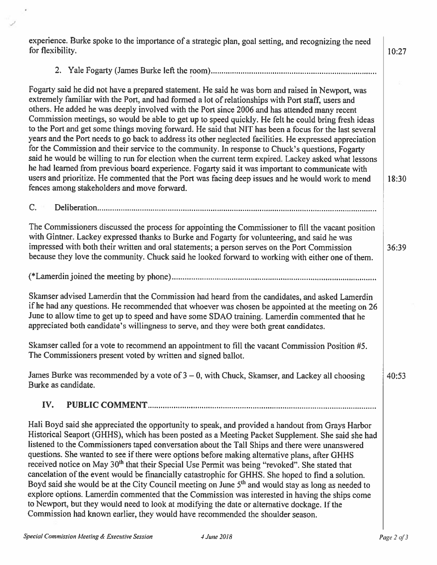experience. Burke spoke to the importance of a strategic plan, goal setting, and recognizing the need for flexibility.

 $10:27$ 

18:30

36:39

 $40:53$ 

Fogarty said he did not have a prepared statement. He said he was born and raised in Newport, was extremely familiar with the Port, and had formed a lot of relationships with Port staff, users and others. He added he was deeply involved with the Port since 2006 and has attended many recent Commission meetings, so would be able to get up to speed quickly. He felt he could bring fresh ideas to the Port and get some things moving forward. He said that NIT has been a focus for the last several years and the Port needs to go back to address its other neglected facilities. He expressed appreciation for the Commission and their service to the community. In response to Chuck's questions, Fogarty said he would be willing to run for election when the current term expired. Lackey asked what lessons he had learned from previous board experience. Fogarty said it was important to communicate with users and prioritize. He commented that the Port was facing deep issues and he would work to mend fences among stakeholders and move forward.

 $C_{-}$ 

The Commissioners discussed the process for appointing the Commissioner to fill the vacant position with Gintner. Lackey expressed thanks to Burke and Fogarty for volunteering, and said he was impressed with both their written and oral statements; a person serves on the Port Commission because they love the community. Chuck said he looked forward to working with either one of them.

Skamser advised Lamerdin that the Commission had heard from the candidates, and asked Lamerdin if he had any questions. He recommended that whoever was chosen be appointed at the meeting on 26 June to allow time to get up to speed and have some SDAO training. Lamerdin commented that he appreciated both candidate's willingness to serve, and they were both great candidates.

Skamser called for a vote to recommend an appointment to fill the vacant Commission Position #5. The Commissioners present voted by written and signed ballot.

James Burke was recommended by a vote of  $3 - 0$ , with Chuck, Skamser, and Lackey all choosing Burke as candidate.

## IV.

Hali Boyd said she appreciated the opportunity to speak, and provided a handout from Grays Harbor Historical Seaport (GHHS), which has been posted as a Meeting Packet Supplement. She said she had listened to the Commissioners taped conversation about the Tall Ships and there were unanswered questions. She wanted to see if there were options before making alternative plans, after GHHS received notice on May 30<sup>th</sup> that their Special Use Permit was being "revoked". She stated that cancelation of the event would be financially catastrophic for GHHS. She hoped to find a solution. Boyd said she would be at the City Council meeting on June  $5<sup>th</sup>$  and would stay as long as needed to explore options. Lamerdin commented that the Commission was interested in having the ships come to Newport, but they would need to look at modifying the date or alternative dockage. If the Commission had known earlier, they would have recommended the shoulder season.